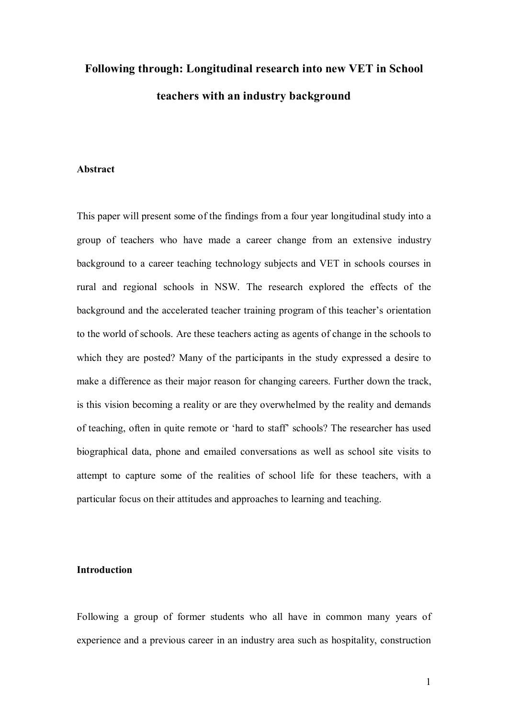# **Following through: Longitudinal research into new VET in School teachers with an industry background**

#### **Abstract**

This paper will present some of the findings from a four year longitudinal study into a group of teachers who have made a career change from an extensive industry background to a career teaching technology subjects and VET in schools courses in rural and regional schools in NSW. The research explored the effects of the background and the accelerated teacher training program of this teacher's orientation to the world of schools. Are these teachers acting as agents of change in the schools to which they are posted? Many of the participants in the study expressed a desire to make a difference as their major reason for changing careers. Further down the track, is this vision becoming a reality or are they overwhelmed by the reality and demands of teaching, often in quite remote or 'hard to staff' schools? The researcher has used biographical data, phone and emailed conversations as well as school site visits to attempt to capture some of the realities of school life for these teachers, with a particular focus on their attitudes and approaches to learning and teaching.

## **Introduction**

Following a group of former students who all have in common many years of experience and a previous career in an industry area such as hospitality, construction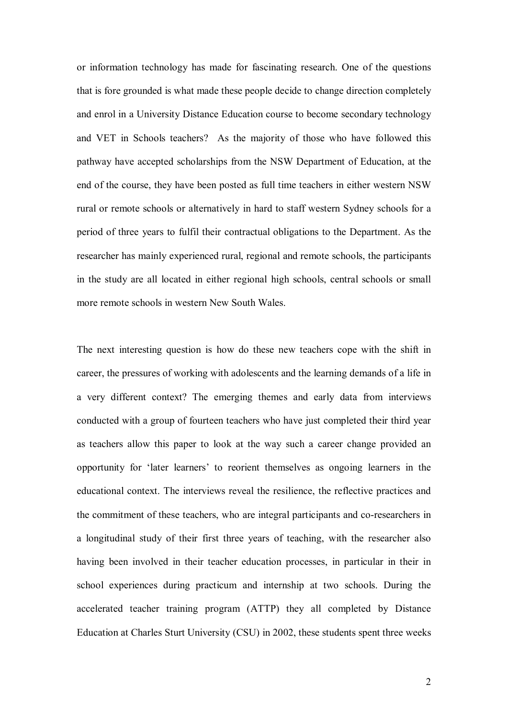or information technology has made for fascinating research. One of the questions that is fore grounded is what made these people decide to change direction completely and enrol in a University Distance Education course to become secondary technology and VET in Schools teachers? As the majority of those who have followed this pathway have accepted scholarships from the NSW Department of Education, at the end of the course, they have been posted as full time teachers in either western NSW rural or remote schools or alternatively in hard to staff western Sydney schools for a period of three years to fulfil their contractual obligations to the Department. As the researcher has mainly experienced rural, regional and remote schools, the participants in the study are all located in either regional high schools, central schools or small more remote schools in western New South Wales.

The next interesting question is how do these new teachers cope with the shift in career, the pressures of working with adolescents and the learning demands of a life in a very different context? The emerging themes and early data from interviews conducted with a group of fourteen teachers who have just completed their third year as teachers allow this paper to look at the way such a career change provided an opportunity for 'later learners' to reorient themselves as ongoing learners in the educational context. The interviews reveal the resilience, the reflective practices and the commitment of these teachers, who are integral participants and co-researchers in a longitudinal study of their first three years of teaching, with the researcher also having been involved in their teacher education processes, in particular in their in school experiences during practicum and internship at two schools. During the accelerated teacher training program (ATTP) they all completed by Distance Education at Charles Sturt University (CSU) in 2002, these students spent three weeks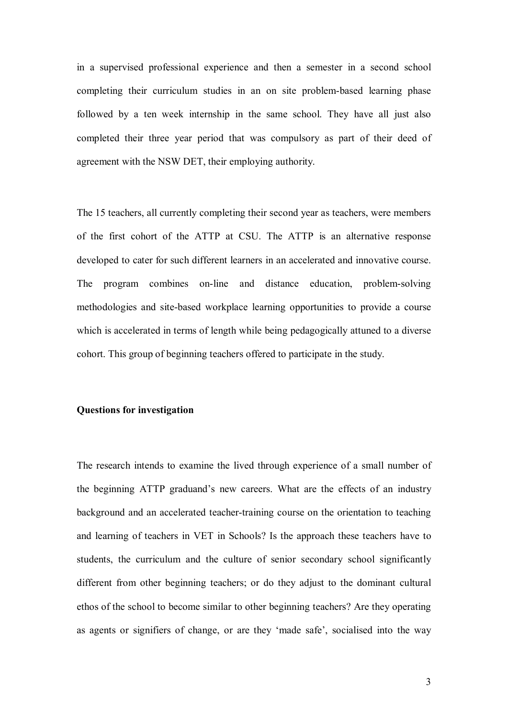in a supervised professional experience and then a semester in a second school completing their curriculum studies in an on site problem-based learning phase followed by a ten week internship in the same school. They have all just also completed their three year period that was compulsory as part of their deed of agreement with the NSW DET, their employing authority.

The 15 teachers, all currently completing their second year as teachers, were members of the first cohort of the ATTP at CSU. The ATTP is an alternative response developed to cater for such different learners in an accelerated and innovative course. The program combines on-line and distance education, problem-solving methodologies and site-based workplace learning opportunities to provide a course which is accelerated in terms of length while being pedagogically attuned to a diverse cohort. This group of beginning teachers offered to participate in the study.

## **Questions for investigation**

The research intends to examine the lived through experience of a small number of the beginning ATTP graduand's new careers. What are the effects of an industry background and an accelerated teacher-training course on the orientation to teaching and learning of teachers in VET in Schools? Is the approach these teachers have to students, the curriculum and the culture of senior secondary school significantly different from other beginning teachers; or do they adjust to the dominant cultural ethos of the school to become similar to other beginning teachers? Are they operating as agents or signifiers of change, or are they 'made safe', socialised into the way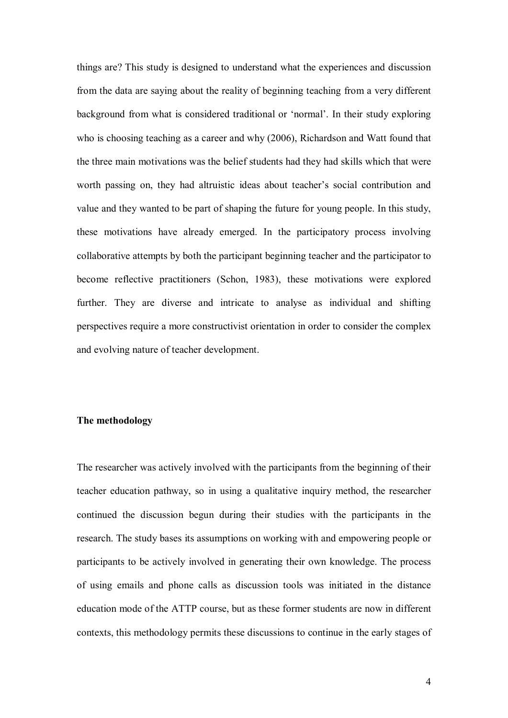things are? This study is designed to understand what the experiences and discussion from the data are saying about the reality of beginning teaching from a very different background from what is considered traditional or 'normal'. In their study exploring who is choosing teaching as a career and why (2006), Richardson and Watt found that the three main motivations was the belief students had they had skills which that were worth passing on, they had altruistic ideas about teacher's social contribution and value and they wanted to be part of shaping the future for young people. In this study, these motivations have already emerged. In the participatory process involving collaborative attempts by both the participant beginning teacher and the participator to become reflective practitioners (Schon, 1983), these motivations were explored further. They are diverse and intricate to analyse as individual and shifting perspectives require a more constructivist orientation in order to consider the complex and evolving nature of teacher development.

## **The methodology**

The researcher was actively involved with the participants from the beginning of their teacher education pathway, so in using a qualitative inquiry method, the researcher continued the discussion begun during their studies with the participants in the research. The study bases its assumptions on working with and empowering people or participants to be actively involved in generating their own knowledge. The process of using emails and phone calls as discussion tools was initiated in the distance education mode of the ATTP course, but as these former students are now in different contexts, this methodology permits these discussions to continue in the early stages of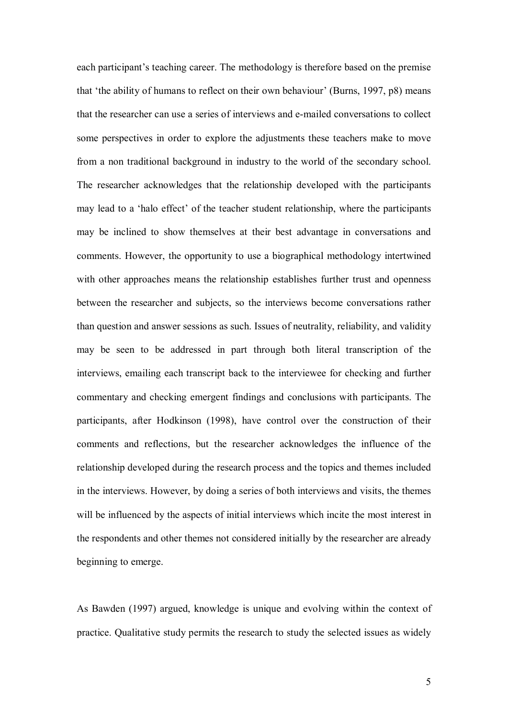each participant's teaching career. The methodology is therefore based on the premise that 'the ability of humans to reflect on their own behaviour' (Burns, 1997, p8) means that the researcher can use a series of interviews and emailed conversations to collect some perspectives in order to explore the adjustments these teachers make to move from a non traditional background in industry to the world of the secondary school. The researcher acknowledges that the relationship developed with the participants may lead to a 'halo effect' of the teacher student relationship, where the participants may be inclined to show themselves at their best advantage in conversations and comments. However, the opportunity to use a biographical methodology intertwined with other approaches means the relationship establishes further trust and openness between the researcher and subjects, so the interviews become conversations rather than question and answer sessions as such. Issues of neutrality, reliability, and validity may be seen to be addressed in part through both literal transcription of the interviews, emailing each transcript back to the interviewee for checking and further commentary and checking emergent findings and conclusions with participants. The participants, after Hodkinson (1998), have control over the construction of their comments and reflections, but the researcher acknowledges the influence of the relationship developed during the research process and the topics and themes included in the interviews. However, by doing a series of both interviews and visits, the themes will be influenced by the aspects of initial interviews which incite the most interest in the respondents and other themes not considered initially by the researcher are already beginning to emerge.

As Bawden (1997) argued, knowledge is unique and evolving within the context of practice. Qualitative study permits the research to study the selected issues as widely

5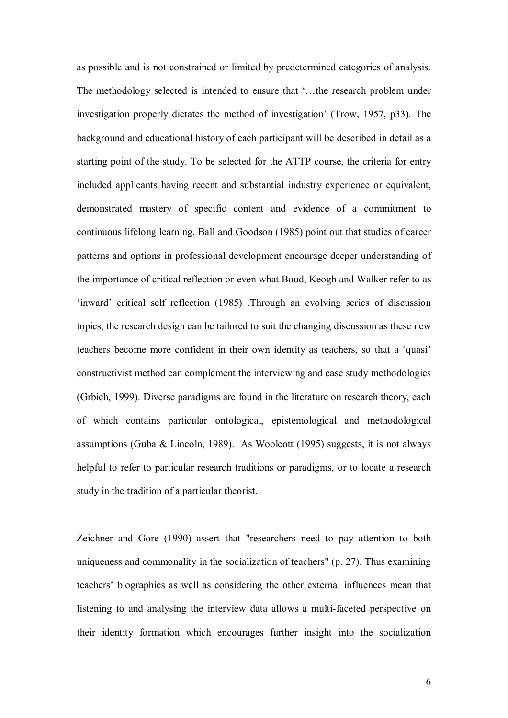as possible and is not constrained or limited by predetermined categories of analysis. The methodology selected is intended to ensure that '…the research problem under investigation properly dictates the method of investigation' (Trow, 1957, p33). The background and educational history of each participant will be described in detail as a starting point of the study. To be selected for the ATTP course, the criteria for entry included applicants having recent and substantial industry experience or equivalent, demonstrated mastery of specific content and evidence of a commitment to continuous lifelong learning. Ball and Goodson (1985) point out that studies of career patterns and options in professional development encourage deeper understanding of the importance of critical reflection or even what Boud, Keogh and Walker refer to as 'inward' critical self reflection (1985) .Through an evolving series of discussion topics, the research design can be tailored to suit the changing discussion as these new teachers become more confident in their own identity as teachers, so that a 'quasi' constructivist method can complement the interviewing and case study methodologies (Grbich, 1999). Diverse paradigms are found in the literature on research theory, each of which contains particular ontological, epistemological and methodological assumptions (Guba & Lincoln, 1989). As Woolcott (1995) suggests, it is not always helpful to refer to particular research traditions or paradigms, or to locate a research study in the tradition of a particular theorist.

Zeichner and Gore (1990) assert that "researchers need to pay attention to both uniqueness and commonality in the socialization of teachers" (p. 27). Thus examining teachers' biographies as well as considering the other external influences mean that listening to and analysing the interview data allows a multi-faceted perspective on their identity formation which encourages further insight into the socialization

6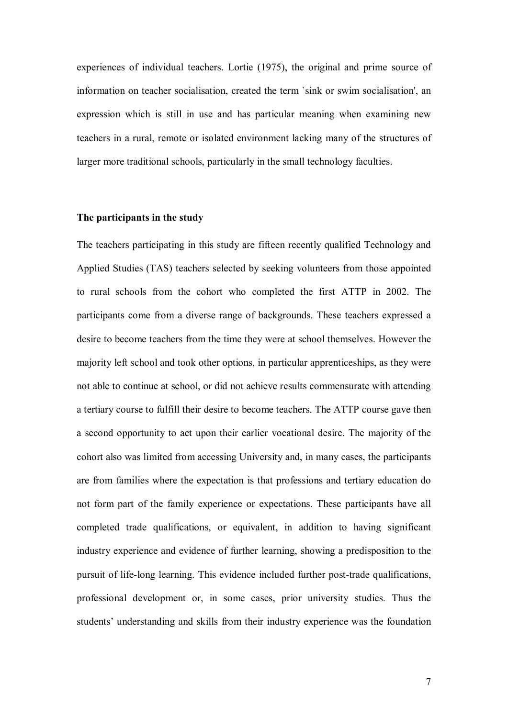experiences of individual teachers. Lortie (1975), the original and prime source of information on teacher socialisation, created the term `sink or swim socialisation', an expression which is still in use and has particular meaning when examining new teachers in a rural, remote or isolated environment lacking many of the structures of larger more traditional schools, particularly in the small technology faculties.

## **The participants in the study**

The teachers participating in this study are fifteen recently qualified Technology and Applied Studies (TAS) teachers selected by seeking volunteers from those appointed to rural schools from the cohort who completed the first ATTP in 2002. The participants come from a diverse range of backgrounds. These teachers expressed a desire to become teachers from the time they were at school themselves. However the majority left school and took other options, in particular apprenticeships, as they were not able to continue at school, or did not achieve results commensurate with attending a tertiary course to fulfill their desire to become teachers. The ATTP course gave then a second opportunity to act upon their earlier vocational desire. The majority of the cohort also was limited from accessing University and, in many cases, the participants are from families where the expectation is that professions and tertiary education do not form part of the family experience or expectations. These participants have all completed trade qualifications, or equivalent, in addition to having significant industry experience and evidence of further learning, showing a predisposition to the pursuit of life-long learning. This evidence included further post-trade qualifications, professional development or, in some cases, prior university studies. Thus the students' understanding and skills from their industry experience was the foundation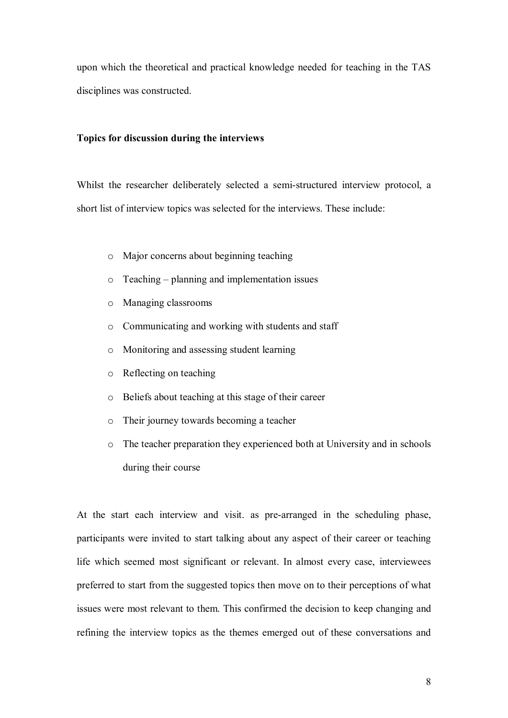upon which the theoretical and practical knowledge needed for teaching in the TAS disciplines was constructed.

#### **Topics for discussion during the interviews**

Whilst the researcher deliberately selected a semi-structured interview protocol, a short list of interview topics was selected for the interviews. These include:

- o Major concerns about beginning teaching
- o Teaching planning and implementation issues
- o Managing classrooms
- o Communicating and working with students and staff
- o Monitoring and assessing student learning
- o Reflecting on teaching
- o Beliefs about teaching at this stage of their career
- o Their journey towards becoming a teacher
- o The teacher preparation they experienced both at University and in schools during their course

At the start each interview and visit. as pre-arranged in the scheduling phase, participants were invited to start talking about any aspect of their career or teaching life which seemed most significant or relevant. In almost every case, interviewees preferred to start from the suggested topics then move on to their perceptions of what issues were most relevant to them. This confirmed the decision to keep changing and refining the interview topics as the themes emerged out of these conversations and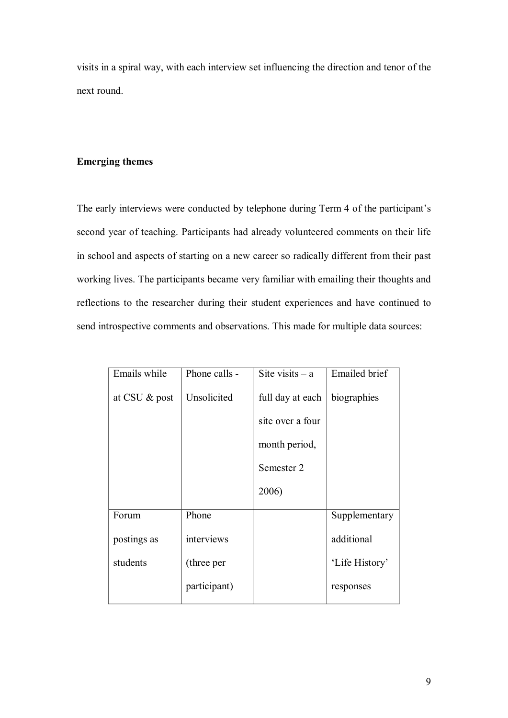visits in a spiral way, with each interview set influencing the direction and tenor of the next round.

# **Emerging themes**

The early interviews were conducted by telephone during Term 4 of the participant's second year of teaching. Participants had already volunteered comments on their life in school and aspects of starting on a new career so radically different from their past working lives. The participants became very familiar with emailing their thoughts and reflections to the researcher during their student experiences and have continued to send introspective comments and observations. This made for multiple data sources:

| Emails while  | Phone calls - | Site visits $- a$ | <b>Emailed</b> brief |
|---------------|---------------|-------------------|----------------------|
| at CSU & post | Unsolicited   | full day at each  | biographies          |
|               |               | site over a four  |                      |
|               |               | month period,     |                      |
|               |               | Semester 2        |                      |
|               |               | 2006)             |                      |
| Forum         | Phone         |                   | Supplementary        |
| postings as   | interviews    |                   | additional           |
| students      | (three per    |                   | 'Life History'       |
|               | participant)  |                   | responses            |
|               |               |                   |                      |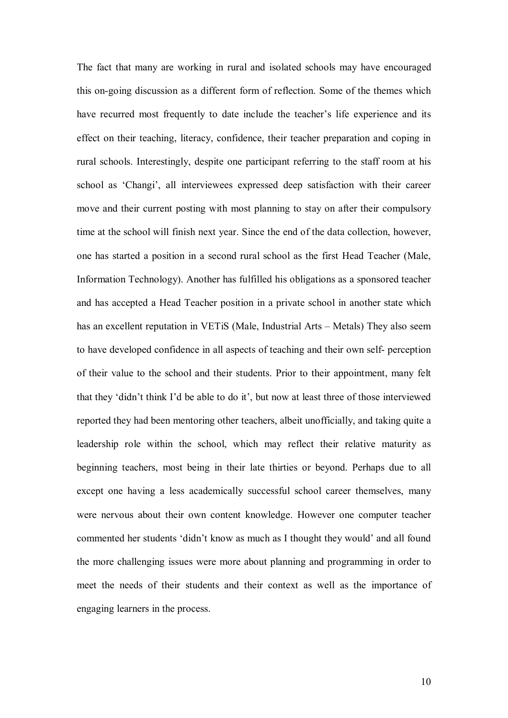The fact that many are working in rural and isolated schools may have encouraged this on-going discussion as a different form of reflection. Some of the themes which have recurred most frequently to date include the teacher's life experience and its effect on their teaching, literacy, confidence, their teacher preparation and coping in rural schools. Interestingly, despite one participant referring to the staff room at his school as 'Changi', all interviewees expressed deep satisfaction with their career move and their current posting with most planning to stay on after their compulsory time at the school will finish next year. Since the end of the data collection, however, one has started a position in a second rural school as the first Head Teacher (Male, Information Technology). Another has fulfilled his obligations as a sponsored teacher and has accepted a Head Teacher position in a private school in another state which has an excellent reputation in VETiS (Male, Industrial Arts – Metals) They also seem to have developed confidence in all aspects of teaching and their own self- perception of their value to the school and their students. Prior to their appointment, many felt that they 'didn't think I'd be able to do it', but now at least three of those interviewed reported they had been mentoring other teachers, albeit unofficially, and taking quite a leadership role within the school, which may reflect their relative maturity as beginning teachers, most being in their late thirties or beyond. Perhaps due to all except one having a less academically successful school career themselves, many were nervous about their own content knowledge. However one computer teacher commented her students 'didn't know as much as I thought they would' and all found the more challenging issues were more about planning and programming in order to meet the needs of their students and their context as well as the importance of engaging learners in the process.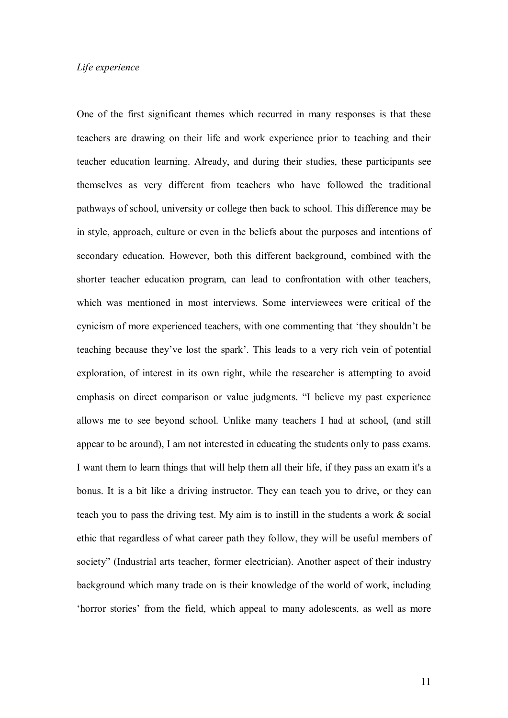One of the first significant themes which recurred in many responses is that these teachers are drawing on their life and work experience prior to teaching and their teacher education learning. Already, and during their studies, these participants see themselves as very different from teachers who have followed the traditional pathways of school, university or college then back to school. This difference may be in style, approach, culture or even in the beliefs about the purposes and intentions of secondary education. However, both this different background, combined with the shorter teacher education program, can lead to confrontation with other teachers, which was mentioned in most interviews. Some interviewees were critical of the cynicism of more experienced teachers, with one commenting that 'they shouldn't be teaching because they've lost the spark'. This leads to a very rich vein of potential exploration, of interest in its own right, while the researcher is attempting to avoid emphasis on direct comparison or value judgments. "I believe my past experience allows me to see beyond school. Unlike many teachers I had at school, (and still appear to be around), I am not interested in educating the students only to pass exams. I want them to learn things that will help them all their life, if they pass an exam it's a bonus. It is a bit like a driving instructor. They can teach you to drive, or they can teach you to pass the driving test. My aim is to instill in the students a work & social ethic that regardless of what career path they follow, they will be useful members of society" (Industrial arts teacher, former electrician). Another aspect of their industry background which many trade on is their knowledge of the world of work, including 'horror stories' from the field, which appeal to many adolescents, as well as more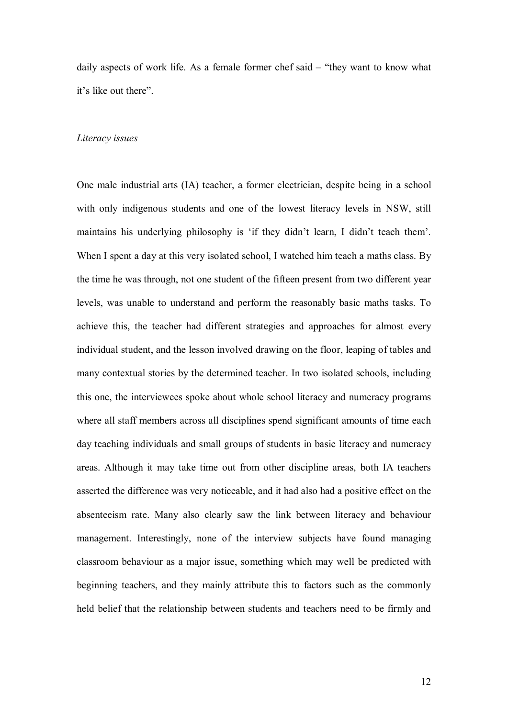daily aspects of work life. As a female former chef said – "they want to know what it's like out there".

#### *Literacy issues*

One male industrial arts (IA) teacher, a former electrician, despite being in a school with only indigenous students and one of the lowest literacy levels in NSW, still maintains his underlying philosophy is 'if they didn't learn, I didn't teach them'. When I spent a day at this very isolated school, I watched him teach a maths class. By the time he was through, not one student of the fifteen present from two different year levels, was unable to understand and perform the reasonably basic maths tasks. To achieve this, the teacher had different strategies and approaches for almost every individual student, and the lesson involved drawing on the floor, leaping of tables and many contextual stories by the determined teacher. In two isolated schools, including this one, the interviewees spoke about whole school literacy and numeracy programs where all staff members across all disciplines spend significant amounts of time each day teaching individuals and small groups of students in basic literacy and numeracy areas. Although it may take time out from other discipline areas, both IA teachers asserted the difference was very noticeable, and it had also had a positive effect on the absenteeism rate. Many also clearly saw the link between literacy and behaviour management. Interestingly, none of the interview subjects have found managing classroom behaviour as a major issue, something which may well be predicted with beginning teachers, and they mainly attribute this to factors such as the commonly held belief that the relationship between students and teachers need to be firmly and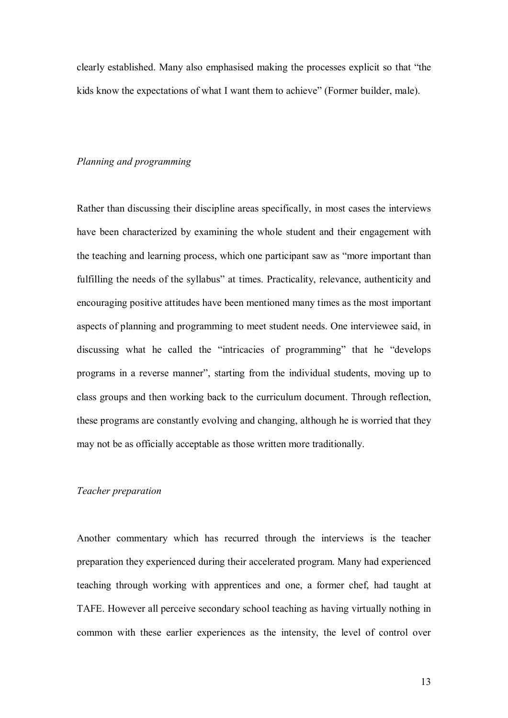clearly established. Many also emphasised making the processes explicit so that "the kids know the expectations of what I want them to achieve" (Former builder, male).

#### *Planning and programming*

Rather than discussing their discipline areas specifically, in most cases the interviews have been characterized by examining the whole student and their engagement with the teaching and learning process, which one participant saw as "more important than fulfilling the needs of the syllabus" at times. Practicality, relevance, authenticity and encouraging positive attitudes have been mentioned many times as the most important aspects of planning and programming to meet student needs. One interviewee said, in discussing what he called the "intricacies of programming" that he "develops" programs in a reverse manner", starting from the individual students, moving up to class groups and then working back to the curriculum document. Through reflection, these programs are constantly evolving and changing, although he is worried that they may not be as officially acceptable as those written more traditionally.

## *Teacher preparation*

Another commentary which has recurred through the interviews is the teacher preparation they experienced during their accelerated program. Many had experienced teaching through working with apprentices and one, a former chef, had taught at TAFE. However all perceive secondary school teaching as having virtually nothing in common with these earlier experiences as the intensity, the level of control over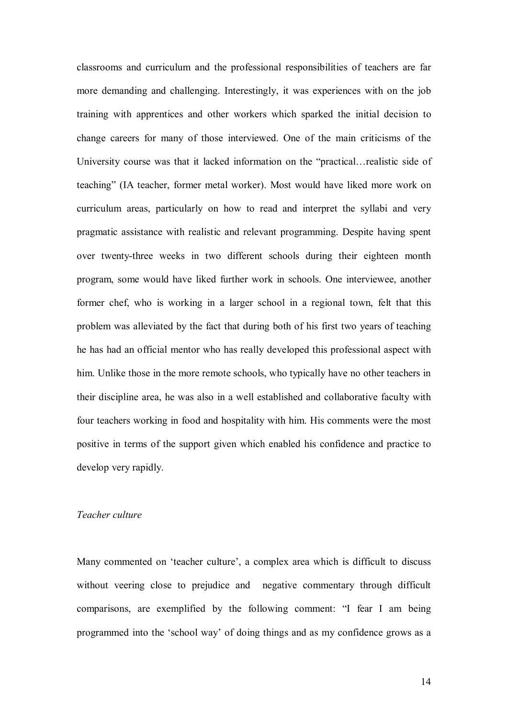classrooms and curriculum and the professional responsibilities of teachers are far more demanding and challenging. Interestingly, it was experiences with on the job training with apprentices and other workers which sparked the initial decision to change careers for many of those interviewed. One of the main criticisms of the University course was that it lacked information on the "practical…realistic side of teaching" (IA teacher, former metal worker). Most would have liked more work on curriculum areas, particularly on how to read and interpret the syllabi and very pragmatic assistance with realistic and relevant programming. Despite having spent over twenty-three weeks in two different schools during their eighteen month program, some would have liked further work in schools. One interviewee, another former chef, who is working in a larger school in a regional town, felt that this problem was alleviated by the fact that during both of his first two years of teaching he has had an official mentor who has really developed this professional aspect with him. Unlike those in the more remote schools, who typically have no other teachers in their discipline area, he was also in a well established and collaborative faculty with four teachers working in food and hospitality with him. His comments were the most positive in terms of the support given which enabled his confidence and practice to develop very rapidly.

## *Teacher culture*

Many commented on 'teacher culture', a complex area which is difficult to discuss without veering close to prejudice and negative commentary through difficult comparisons, are exemplified by the following comment: "I fear I am being programmed into the 'school way' of doing things and as my confidence grows as a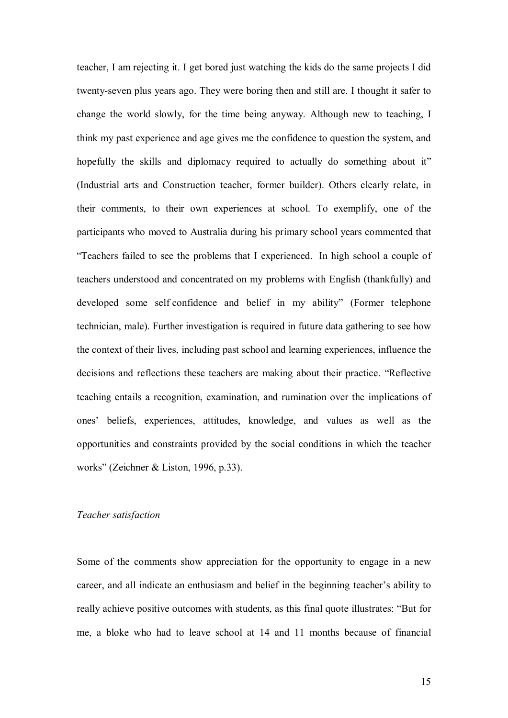teacher, I am rejecting it. I get bored just watching the kids do the same projects I did twenty-seven plus years ago. They were boring then and still are. I thought it safer to change the world slowly, for the time being anyway. Although new to teaching, I think my past experience and age gives me the confidence to question the system, and hopefully the skills and diplomacy required to actually do something about it" (Industrial arts and Construction teacher, former builder). Others clearly relate, in their comments, to their own experiences at school. To exemplify, one of the participants who moved to Australia during his primary school years commented that "Teachers failed to see the problems that I experienced. In high school a couple of teachers understood and concentrated on my problems with English (thankfully) and developed some self confidence and belief in my ability" (Former telephone technician, male). Further investigation is required in future data gathering to see how the context of their lives, including past school and learning experiences, influence the decisions and reflections these teachers are making about their practice. "Reflective teaching entails a recognition, examination, and rumination over the implications of ones' beliefs, experiences, attitudes, knowledge, and values as well as the opportunities and constraints provided by the social conditions in which the teacher works" (Zeichner & Liston, 1996, p.33).

## *Teacher satisfaction*

Some of the comments show appreciation for the opportunity to engage in a new career, and all indicate an enthusiasm and belief in the beginning teacher's ability to really achieve positive outcomes with students, as this final quote illustrates: "But for me, a bloke who had to leave school at 14 and 11 months because of financial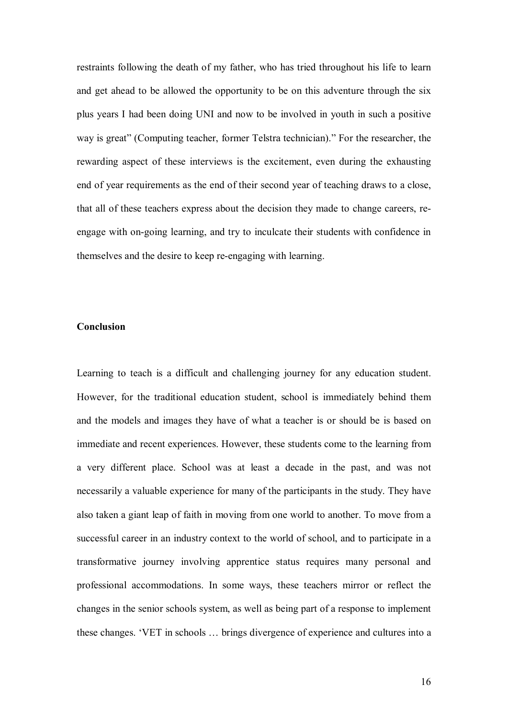restraints following the death of my father, who has tried throughout his life to learn and get ahead to be allowed the opportunity to be on this adventure through the six plus years I had been doing UNI and now to be involved in youth in such a positive way is great" (Computing teacher, former Telstra technician)." For the researcher, the rewarding aspect of these interviews is the excitement, even during the exhausting end of year requirements as the end of their second year of teaching draws to a close, that all of these teachers express about the decision they made to change careers, re engage with on-going learning, and try to inculcate their students with confidence in themselves and the desire to keep re-engaging with learning.

# **Conclusion**

Learning to teach is a difficult and challenging journey for any education student. However, for the traditional education student, school is immediately behind them and the models and images they have of what a teacher is or should be is based on immediate and recent experiences. However, these students come to the learning from a very different place. School was at least a decade in the past, and was not necessarily a valuable experience for many of the participants in the study. They have also taken a giant leap of faith in moving from one world to another. To move from a successful career in an industry context to the world of school, and to participate in a transformative journey involving apprentice status requires many personal and professional accommodations. In some ways, these teachers mirror or reflect the changes in the senior schools system, as well as being part of a response to implement these changes. 'VET in schools … brings divergence of experience and cultures into a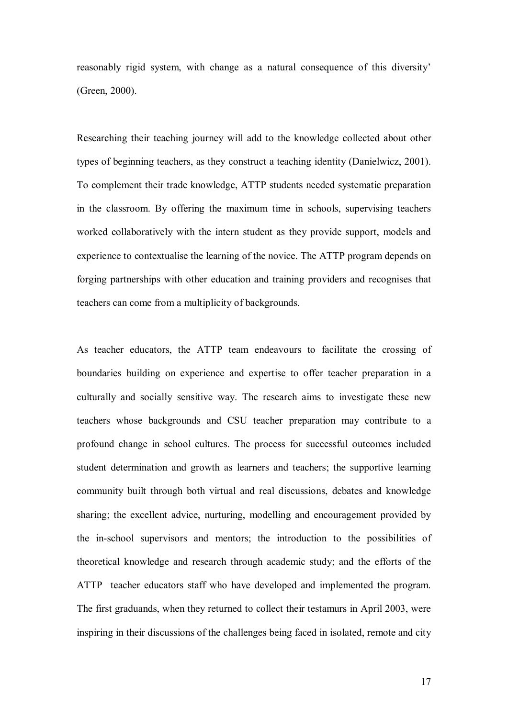reasonably rigid system, with change as a natural consequence of this diversity' (Green, 2000).

Researching their teaching journey will add to the knowledge collected about other types of beginning teachers, as they construct a teaching identity (Danielwicz, 2001). To complement their trade knowledge, ATTP students needed systematic preparation in the classroom. By offering the maximum time in schools, supervising teachers worked collaboratively with the intern student as they provide support, models and experience to contextualise the learning of the novice. The ATTP program depends on forging partnerships with other education and training providers and recognises that teachers can come from a multiplicity of backgrounds.

As teacher educators, the ATTP team endeavours to facilitate the crossing of boundaries building on experience and expertise to offer teacher preparation in a culturally and socially sensitive way. The research aims to investigate these new teachers whose backgrounds and CSU teacher preparation may contribute to a profound change in school cultures. The process for successful outcomes included student determination and growth as learners and teachers; the supportive learning community built through both virtual and real discussions, debates and knowledge sharing; the excellent advice, nurturing, modelling and encouragement provided by the inschool supervisors and mentors; the introduction to the possibilities of theoretical knowledge and research through academic study; and the efforts of the ATTP teacher educators staff who have developed and implemented the program. The first graduands, when they returned to collect their testamurs in April 2003, were inspiring in their discussions of the challenges being faced in isolated, remote and city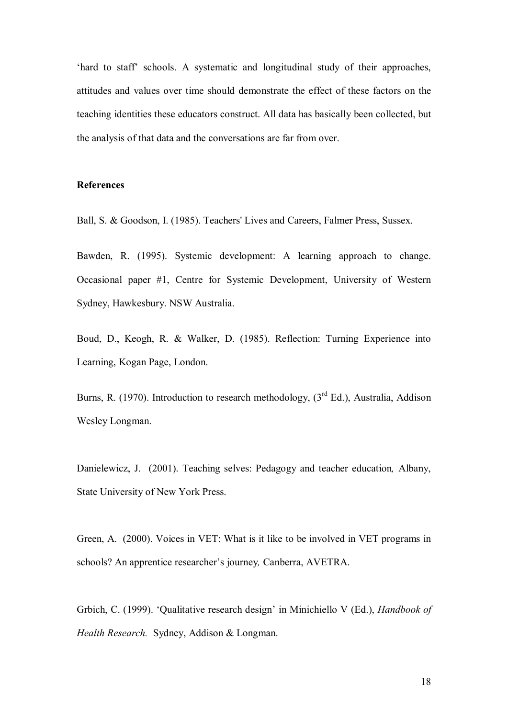'hard to staff' schools. A systematic and longitudinal study of their approaches, attitudes and values over time should demonstrate the effect of these factors on the teaching identities these educators construct. All data has basically been collected, but the analysis of that data and the conversations are far from over.

# **References**

Ball, S. & Goodson, I. (1985). Teachers' Lives and Careers, Falmer Press, Sussex.

Bawden, R. (1995). Systemic development: A learning approach to change. Occasional paper #1, Centre for Systemic Development, University of Western Sydney, Hawkesbury. NSW Australia.

Boud, D., Keogh, R. & Walker, D. (1985). Reflection: Turning Experience into Learning, Kogan Page, London.

Burns, R. (1970). Introduction to research methodology,  $3<sup>rd</sup> Ed$ .), Australia, Addison Wesley Longman.

Danielewicz, J. (2001). Teaching selves: Pedagogy and teacher education*,* Albany, State University of New York Press.

Green, A. (2000). Voices in VET: What is it like to be involved in VET programs in schools? An apprentice researcher's journey*,* Canberra, AVETRA.

Grbich, C. (1999). 'Qualitative research design' in Minichiello V (Ed.), *Handbook of Health Research.* Sydney, Addison & Longman.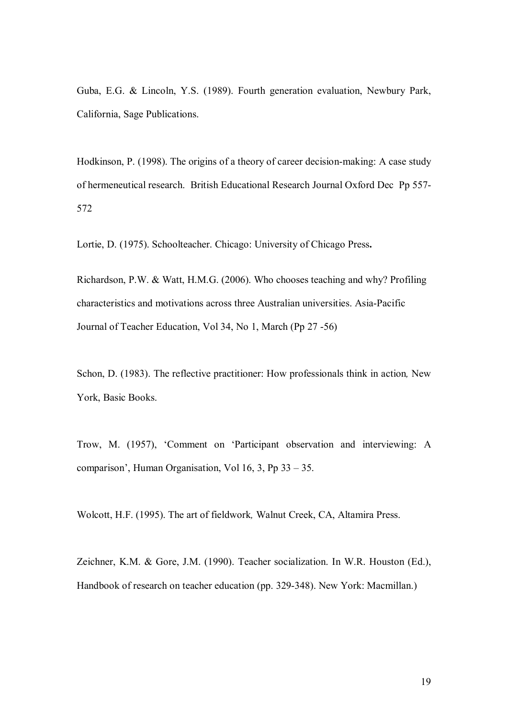Guba, E.G. & Lincoln, Y.S. (1989). Fourth generation evaluation, Newbury Park, California, Sage Publications.

Hodkinson, P. (1998). The origins of a theory of career decision-making: A case study of hermeneutical research. British Educational Research Journal Oxford Dec Pp 557 572

Lortie, D. (1975). Schoolteacher. Chicago: University of Chicago Press**.**

Richardson, P.W. & Watt, H.M.G. (2006). Who chooses teaching and why? Profiling characteristics and motivations across three Australian universities. Asia-Pacific Journal of Teacher Education, Vol 34, No 1, March (Pp 27 -56)

Schon, D. (1983). The reflective practitioner: How professionals think in action*,* New York, Basic Books.

Trow, M. (1957), 'Comment on 'Participant observation and interviewing: A comparison', Human Organisation, Vol 16, 3, Pp 33 – 35.

Wolcott, H.F. (1995). The art of fieldwork*,* Walnut Creek, CA, Altamira Press.

Zeichner, K.M. & Gore, J.M. (1990). Teacher socialization. In W.R. Houston (Ed.), Handbook of research on teacher education (pp. 329-348). New York: Macmillan.)